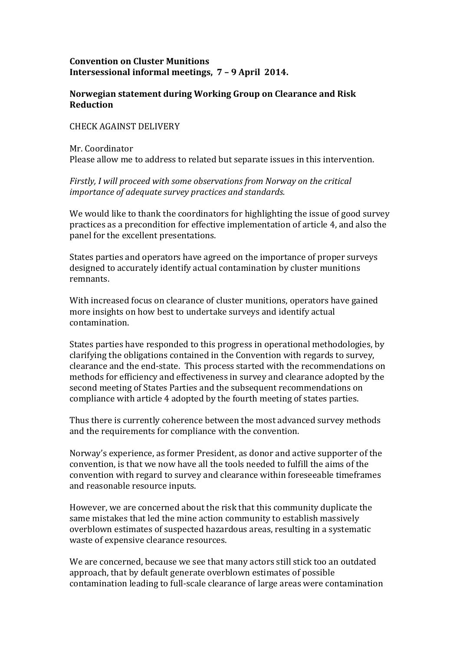## **Convention on Cluster Munitions Intersessional informal meetings, 7 – 9 April 2014.**

## **Norwegian statement during Working Group on Clearance and Risk Reduction**

## CHECK AGAINST DELIVERY

Mr. Coordinator Please allow me to address to related but separate issues in this intervention.

## *Firstly, I will proceed with some observations from Norway on the critical importance of adequate survey practices and standards.*

We would like to thank the coordinators for highlighting the issue of good survey practices as a precondition for effective implementation of article 4, and also the panel for the excellent presentations.

States parties and operators have agreed on the importance of proper surveys designed to accurately identify actual contamination by cluster munitions remnants.

With increased focus on clearance of cluster munitions, operators have gained more insights on how best to undertake surveys and identify actual contamination.

States parties have responded to this progress in operational methodologies, by clarifying the obligations contained in the Convention with regards to survey, clearance and the end-state. This process started with the recommendations on methods for efficiency and effectiveness in survey and clearance adopted by the second meeting of States Parties and the subsequent recommendations on compliance with article 4 adopted by the fourth meeting of states parties.

Thus there is currently coherence between the most advanced survey methods and the requirements for compliance with the convention.

Norway's experience, as former President, as donor and active supporter of the convention, is that we now have all the tools needed to fulfill the aims of the convention with regard to survey and clearance within foreseeable timeframes and reasonable resource inputs.

However, we are concerned about the risk that this community duplicate the same mistakes that led the mine action community to establish massively overblown estimates of suspected hazardous areas, resulting in a systematic waste of expensive clearance resources.

We are concerned, because we see that many actors still stick too an outdated approach, that by default generate overblown estimates of possible contamination leading to full-scale clearance of large areas were contamination